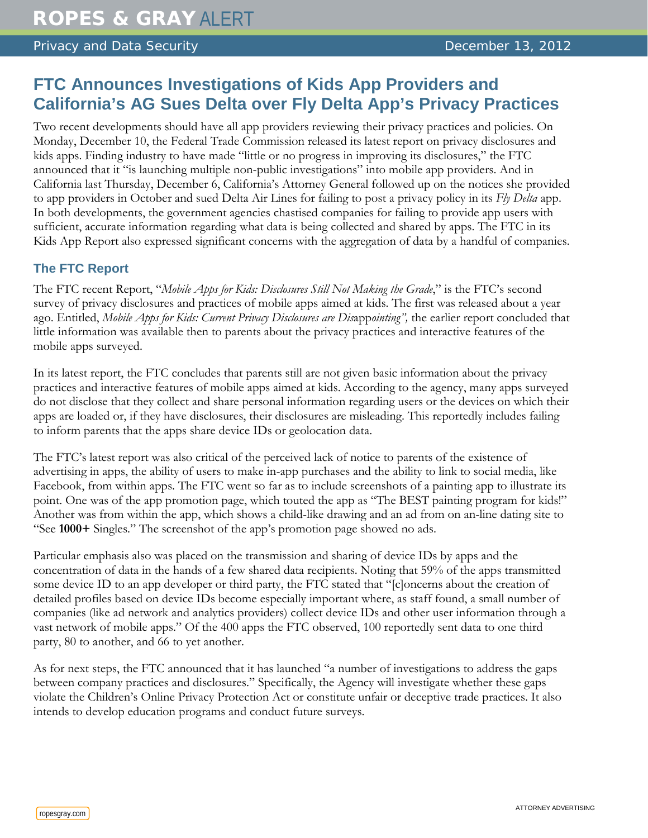## Privacy and Data Security **December 13, 2012**

## **FTC Announces Investigations of Kids App Providers and California's AG Sues Delta over Fly Delta App's Privacy Practices**

Two recent developments should have all app providers reviewing their privacy practices and policies. On Monday, December 10, the Federal Trade Commission released its latest report on privacy disclosures and kids apps. Finding industry to have made "little or no progress in improving its disclosures," the FTC announced that it "is launching multiple non-public investigations" into mobile app providers. And in California last Thursday, December 6, California's Attorney General followed up on the notices she provided to app providers in October and sued Delta Air Lines for failing to post a privacy policy in its *Fly Delta* app. In both developments, the government agencies chastised companies for failing to provide app users with sufficient, accurate information regarding what data is being collected and shared by apps. The FTC in its Kids App Report also expressed significant concerns with the aggregation of data by a handful of companies.

## **The FTC Report**

The FTC recent Report, "*Mobile Apps for Kids: Disclosures Still Not Making the Grade*," is the FTC's second survey of privacy disclosures and practices of mobile apps aimed at kids. The first was released about a year ago. Entitled, *Mobile Apps for Kids: Current Privacy Disclosures are Dis*app*ointing",* the earlier report concluded that little information was available then to parents about the privacy practices and interactive features of the mobile apps surveyed.

In its latest report, the FTC concludes that parents still are not given basic information about the privacy practices and interactive features of mobile apps aimed at kids. According to the agency, many apps surveyed do not disclose that they collect and share personal information regarding users or the devices on which their apps are loaded or, if they have disclosures, their disclosures are misleading. This reportedly includes failing to inform parents that the apps share device IDs or geolocation data.

The FTC's latest report was also critical of the perceived lack of notice to parents of the existence of advertising in apps, the ability of users to make in-app purchases and the ability to link to social media, like Facebook, from within apps. The FTC went so far as to include screenshots of a painting app to illustrate its point. One was of the app promotion page, which touted the app as "The BEST painting program for kids!" Another was from within the app, which shows a child-like drawing and an ad from on an-line dating site to "See **1000+** Singles." The screenshot of the app's promotion page showed no ads.

Particular emphasis also was placed on the transmission and sharing of device IDs by apps and the concentration of data in the hands of a few shared data recipients. Noting that 59% of the apps transmitted some device ID to an app developer or third party, the FTC stated that "[c]oncerns about the creation of detailed profiles based on device IDs become especially important where, as staff found, a small number of companies (like ad network and analytics providers) collect device IDs and other user information through a vast network of mobile apps." Of the 400 apps the FTC observed, 100 reportedly sent data to one third party, 80 to another, and 66 to yet another.

As for next steps, the FTC announced that it has launched "a number of investigations to address the gaps between company practices and disclosures." Specifically, the Agency will investigate whether these gaps violate the Children's Online Privacy Protection Act or constitute unfair or deceptive trade practices. It also intends to develop education programs and conduct future surveys.